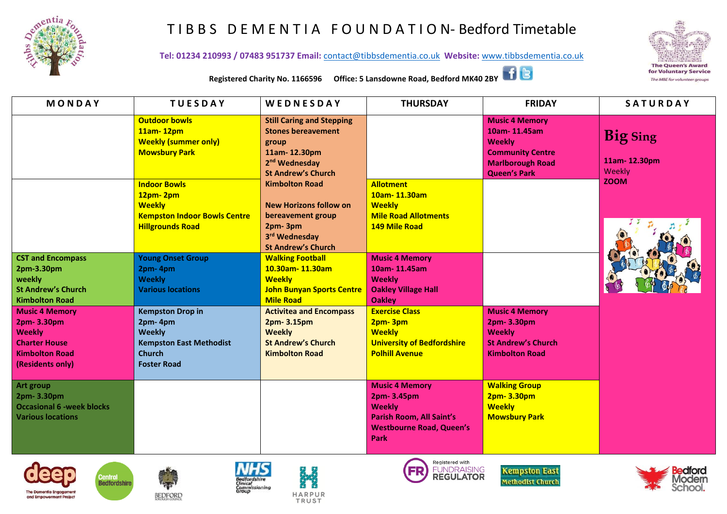

## T I B B S D E M E N T I A F O U N D A T I O N- Bedford Timetable

**Tel: 01234 210993 / 07483 951737 Email:** [contact@tibbsdementia.co.uk](mailto:contact@tibbsdementia.co.uk) **Website:** [www.tibbsdementia.co.uk](http://www.tibbsdementia.co.uk/)



**Registered Charity No. 1166596 Office: 5 Lansdowne Road, Bedford MK40 2BY**

| MONDAY                                                                                                                                                                                                                               | <b>TUESDAY</b>                                                                                                                                                                                                   | WEDNESDAY                                                                                                                                                                                                                                                                | <b>THURSDAY</b>                                                                                                                                                                                                          | <b>FRIDAY</b>                                                                                                                       | SATURDAY                                                 |
|--------------------------------------------------------------------------------------------------------------------------------------------------------------------------------------------------------------------------------------|------------------------------------------------------------------------------------------------------------------------------------------------------------------------------------------------------------------|--------------------------------------------------------------------------------------------------------------------------------------------------------------------------------------------------------------------------------------------------------------------------|--------------------------------------------------------------------------------------------------------------------------------------------------------------------------------------------------------------------------|-------------------------------------------------------------------------------------------------------------------------------------|----------------------------------------------------------|
|                                                                                                                                                                                                                                      | <b>Outdoor bowls</b><br>11am-12pm<br><b>Weekly (summer only)</b><br><b>Mowsbury Park</b><br><b>Indoor Bowls</b><br>12pm-2pm<br><b>Weekly</b><br><b>Kempston Indoor Bowls Centre</b><br><b>Hillgrounds Road</b>   | <b>Still Caring and Stepping</b><br><b>Stones bereavement</b><br>group<br>11am-12.30pm<br>2 <sup>nd</sup> Wednesday<br><b>St Andrew's Church</b><br><b>Kimbolton Road</b><br><b>New Horizons follow on</b><br>bereavement group<br>2pm-3pm<br>3rd Wednesday              | <b>Allotment</b><br>10am-11.30am<br><b>Weekly</b><br><b>Mile Road Allotments</b><br><b>149 Mile Road</b>                                                                                                                 | <b>Music 4 Memory</b><br>10am-11.45am<br><b>Weekly</b><br><b>Community Centre</b><br><b>Marlborough Road</b><br><b>Queen's Park</b> | <b>Big Sing</b><br>11am-12.30pm<br>Weekly<br><b>ZOOM</b> |
| <b>CST and Encompass</b><br>2pm-3.30pm<br>weekly<br><b>St Andrew's Church</b><br><b>Kimbolton Road</b><br><b>Music 4 Memory</b><br>2pm- 3.30pm<br><b>Weekly</b><br><b>Charter House</b><br><b>Kimbolton Road</b><br>(Residents only) | <b>Young Onset Group</b><br>2pm-4pm<br><b>Weekly</b><br><b>Various locations</b><br><b>Kempston Drop in</b><br>2pm-4pm<br><b>Weekly</b><br><b>Kempston East Methodist</b><br><b>Church</b><br><b>Foster Road</b> | <b>St Andrew's Church</b><br><b>Walking Football</b><br>10.30am-11.30am<br><b>Weekly</b><br><b>John Bunyan Sports Centre</b><br><b>Mile Road</b><br><b>Activitea and Encompass</b><br>2pm- 3.15pm<br><b>Weekly</b><br><b>St Andrew's Church</b><br><b>Kimbolton Road</b> | <b>Music 4 Memory</b><br>10am-11.45am<br><b>Weekly</b><br><b>Oakley Village Hall</b><br><b>Oakley</b><br><b>Exercise Class</b><br>2pm-3pm<br><b>Weekly</b><br><b>University of Bedfordshire</b><br><b>Polhill Avenue</b> | <b>Music 4 Memory</b><br>2pm-3.30pm<br><b>Weekly</b><br><b>St Andrew's Church</b><br><b>Kimbolton Road</b>                          |                                                          |
| Art group<br>2pm- 3.30pm<br><b>Occasional 6 -week blocks</b><br><b>Various locations</b>                                                                                                                                             |                                                                                                                                                                                                                  |                                                                                                                                                                                                                                                                          | <b>Music 4 Memory</b><br>2pm-3.45pm<br><b>Weekly</b><br>Parish Room, All Saint's<br><b>Westbourne Road, Queen's</b><br>Park                                                                                              | <b>Walking Group</b><br>2pm- 3.30pm<br><b>Weekly</b><br><b>Mowsbury Park</b>                                                        |                                                          |









mmissioning